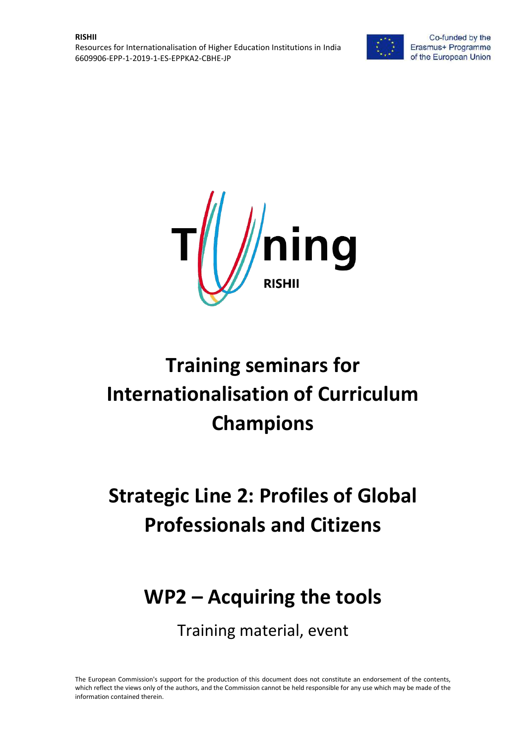



# **Training seminars for Internationalisation of Curriculum Champions**

# **Strategic Line 2: Profiles of Global Professionals and Citizens**

## **WP2 – Acquiring the tools**

Training material, event

The European Commission's support for the production of this document does not constitute an endorsement of the contents, which reflect the views only of the authors, and the Commission cannot be held responsible for any use which may be made of the information contained therein.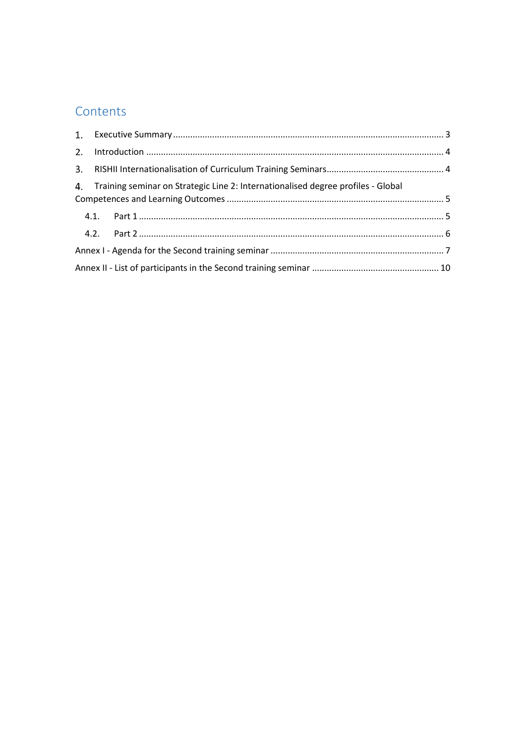### Contents

|  | 4. Training seminar on Strategic Line 2: Internationalised degree profiles - Global |  |  |
|--|-------------------------------------------------------------------------------------|--|--|
|  |                                                                                     |  |  |
|  |                                                                                     |  |  |
|  |                                                                                     |  |  |
|  |                                                                                     |  |  |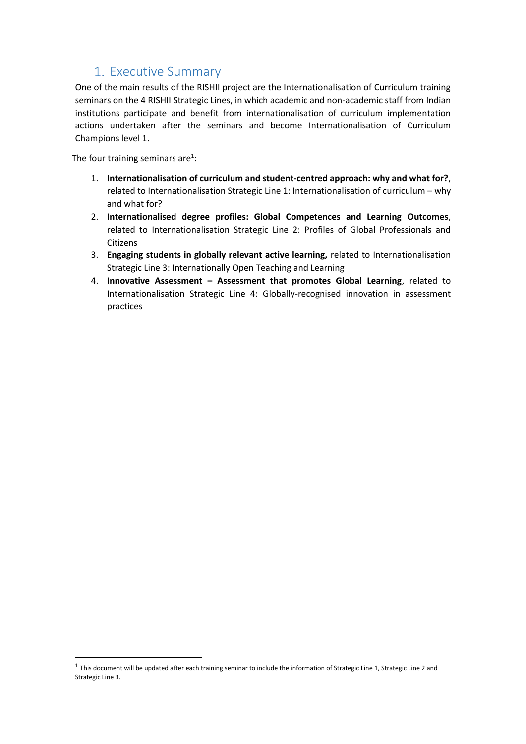### 1. Executive Summary

<span id="page-2-0"></span>One of the main results of the RISHII project are the Internationalisation of Curriculum training seminars on the 4 RISHII Strategic Lines, in which academic and non-academic staff from Indian institutions participate and benefit from internationalisation of curriculum implementation actions undertaken after the seminars and become Internationalisation of Curriculum Champions level 1.

The four training seminars are<sup>1</sup>:

**.** 

- 1. **Internationalisation of curriculum and student-centred approach: why and what for?**, related to Internationalisation Strategic Line 1: Internationalisation of curriculum – why and what for?
- 2. **Internationalised degree profiles: Global Competences and Learning Outcomes**, related to Internationalisation Strategic Line 2: Profiles of Global Professionals and Citizens
- 3. **Engaging students in globally relevant active learning,** related to Internationalisation Strategic Line 3: Internationally Open Teaching and Learning
- 4. **Innovative Assessment – Assessment that promotes Global Learning**, related to Internationalisation Strategic Line 4: Globally-recognised innovation in assessment practices

 $1$  This document will be updated after each training seminar to include the information of Strategic Line 1, Strategic Line 2 and Strategic Line 3.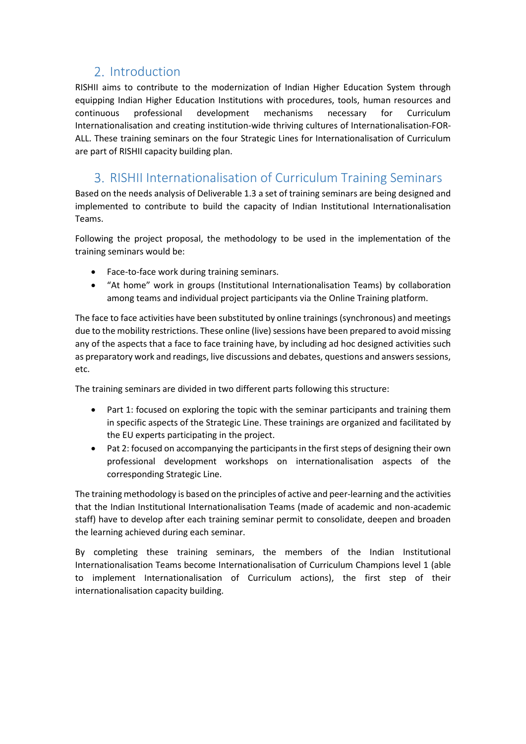### 2. Introduction

<span id="page-3-0"></span>RISHII aims to contribute to the modernization of Indian Higher Education System through equipping Indian Higher Education Institutions with procedures, tools, human resources and continuous professional development mechanisms necessary for Curriculum Internationalisation and creating institution-wide thriving cultures of Internationalisation-FOR-ALL. These training seminars on the four Strategic Lines for Internationalisation of Curriculum are part of RISHII capacity building plan.

### <span id="page-3-1"></span>3. RISHII Internationalisation of Curriculum Training Seminars

Based on the needs analysis of Deliverable 1.3 a set of training seminars are being designed and implemented to contribute to build the capacity of Indian Institutional Internationalisation Teams.

Following the project proposal, the methodology to be used in the implementation of the training seminars would be:

- Face-to-face work during training seminars.
- "At home" work in groups (Institutional Internationalisation Teams) by collaboration among teams and individual project participants via the Online Training platform.

The face to face activities have been substituted by online trainings (synchronous) and meetings due to the mobility restrictions. These online (live) sessions have been prepared to avoid missing any of the aspects that a face to face training have, by including ad hoc designed activities such as preparatory work and readings, live discussions and debates, questions and answers sessions, etc.

The training seminars are divided in two different parts following this structure:

- Part 1: focused on exploring the topic with the seminar participants and training them in specific aspects of the Strategic Line. These trainings are organized and facilitated by the EU experts participating in the project.
- Pat 2: focused on accompanying the participants in the first steps of designing their own professional development workshops on internationalisation aspects of the corresponding Strategic Line.

The training methodology is based on the principles of active and peer-learning and the activities that the Indian Institutional Internationalisation Teams (made of academic and non-academic staff) have to develop after each training seminar permit to consolidate, deepen and broaden the learning achieved during each seminar.

By completing these training seminars, the members of the Indian Institutional Internationalisation Teams become Internationalisation of Curriculum Champions level 1 (able to implement Internationalisation of Curriculum actions), the first step of their internationalisation capacity building.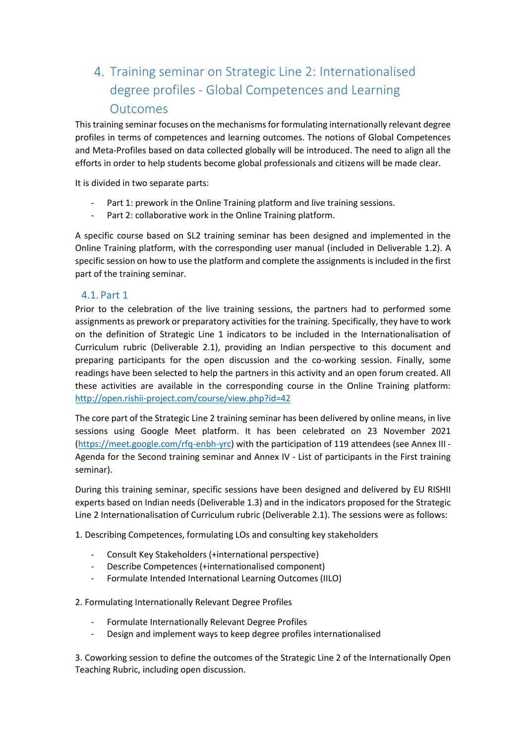### <span id="page-4-0"></span>Training seminar on Strategic Line 2: Internationalised degree profiles - Global Competences and Learning Outcomes

This training seminar focuses on the mechanisms for formulating internationally relevant degree profiles in terms of competences and learning outcomes. The notions of Global Competences and Meta-Profiles based on data collected globally will be introduced. The need to align all the efforts in order to help students become global professionals and citizens will be made clear.

It is divided in two separate parts:

- Part 1: prework in the Online Training platform and live training sessions.
- Part 2: collaborative work in the Online Training platform.

A specific course based on SL2 training seminar has been designed and implemented in the Online Training platform, with the corresponding user manual (included in Deliverable 1.2). A specific session on how to use the platform and complete the assignments is included in the first part of the training seminar.

#### <span id="page-4-1"></span>4.1. Part 1

Prior to the celebration of the live training sessions, the partners had to performed some assignments as prework or preparatory activities for the training. Specifically, they have to work on the definition of Strategic Line 1 indicators to be included in the Internationalisation of Curriculum rubric (Deliverable 2.1), providing an Indian perspective to this document and preparing participants for the open discussion and the co-working session. Finally, some readings have been selected to help the partners in this activity and an open forum created. All these activities are available in the corresponding course in the Online Training platform: <http://open.rishii-project.com/course/view.php?id=42>

The core part of the Strategic Line 2 training seminar has been delivered by online means, in live sessions using Google Meet platform. It has been celebrated on 23 November 2021 (https://meet.google.com/rfq-enbh-yrc) with the participation of 119 attendees (see Annex III - Agenda for the Second training seminar and Annex IV - List of participants in the First training seminar).

During this training seminar, specific sessions have been designed and delivered by EU RISHII experts based on Indian needs (Deliverable 1.3) and in the indicators proposed for the Strategic Line 2 Internationalisation of Curriculum rubric (Deliverable 2.1). The sessions were as follows:

1. Describing Competences, formulating LOs and consulting key stakeholders

- Consult Key Stakeholders (+international perspective)
- Describe Competences (+internationalised component)
- Formulate Intended International Learning Outcomes (IILO)

2. Formulating Internationally Relevant Degree Profiles

- Formulate Internationally Relevant Degree Profiles
- Design and implement ways to keep degree profiles internationalised

3. Coworking session to define the outcomes of the Strategic Line 2 of the Internationally Open Teaching Rubric, including open discussion.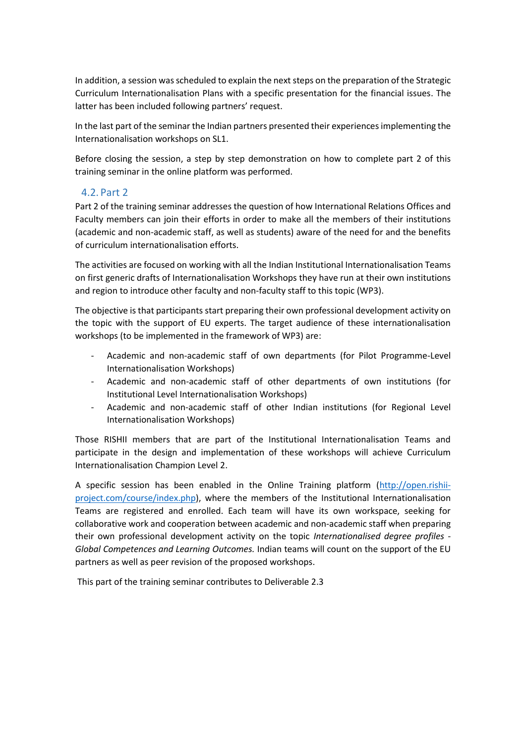In addition, a session was scheduled to explain the next steps on the preparation of the Strategic Curriculum Internationalisation Plans with a specific presentation for the financial issues. The latter has been included following partners' request.

In the last part of the seminar the Indian partners presented their experiences implementing the Internationalisation workshops on SL1.

Before closing the session, a step by step demonstration on how to complete part 2 of this training seminar in the online platform was performed.

#### <span id="page-5-0"></span>4.2. Part 2

Part 2 of the training seminar addresses the question of how International Relations Offices and Faculty members can join their efforts in order to make all the members of their institutions (academic and non-academic staff, as well as students) aware of the need for and the benefits of curriculum internationalisation efforts.

The activities are focused on working with all the Indian Institutional Internationalisation Teams on first generic drafts of Internationalisation Workshops they have run at their own institutions and region to introduce other faculty and non-faculty staff to this topic (WP3).

The objective is that participants start preparing their own professional development activity on the topic with the support of EU experts. The target audience of these internationalisation workshops (to be implemented in the framework of WP3) are:

- Academic and non-academic staff of own departments (for Pilot Programme-Level Internationalisation Workshops)
- Academic and non-academic staff of other departments of own institutions (for Institutional Level Internationalisation Workshops)
- Academic and non-academic staff of other Indian institutions (for Regional Level Internationalisation Workshops)

Those RISHII members that are part of the Institutional Internationalisation Teams and participate in the design and implementation of these workshops will achieve Curriculum Internationalisation Champion Level 2.

A specific session has been enabled in the Online Training platform [\(http://open.rishii](http://open.rishii-project.com/course/index.php)[project.com/course/index.php\)](http://open.rishii-project.com/course/index.php), where the members of the Institutional Internationalisation Teams are registered and enrolled. Each team will have its own workspace, seeking for collaborative work and cooperation between academic and non-academic staff when preparing their own professional development activity on the topic *Internationalised degree profiles - Global Competences and Learning Outcomes.* Indian teams will count on the support of the EU partners as well as peer revision of the proposed workshops.

This part of the training seminar contributes to Deliverable 2.3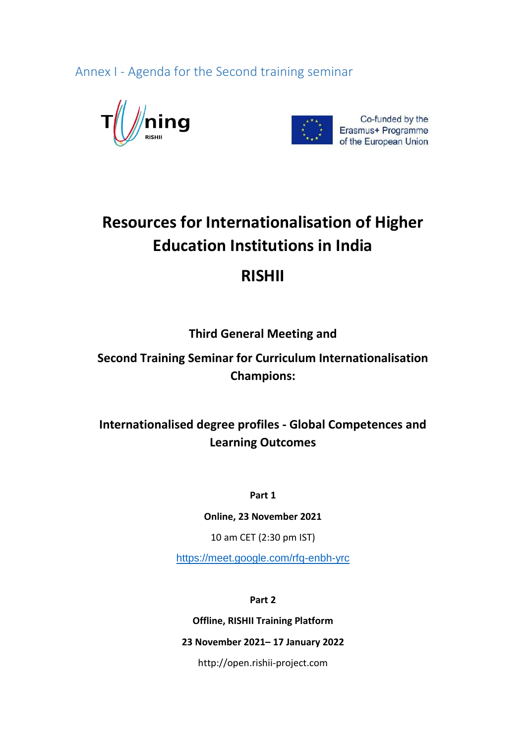<span id="page-6-0"></span>Annex I - Agenda for the Second training seminar





## **Resources for Internationalisation of Higher Education Institutions in India**

## **RISHII**

### **Third General Meeting and**

### **Second Training Seminar for Curriculum Internationalisation Champions:**

### **Internationalised degree profiles - Global Competences and Learning Outcomes**

**Part 1**

**Online, 23 November 2021**

10 am CET (2:30 pm IST)

<https://meet.google.com/rfq-enbh-yrc>

**Part 2**

**Offline, RISHII Training Platform**

### **23 November 2021– 17 January 2022**

http://open.rishii-project.com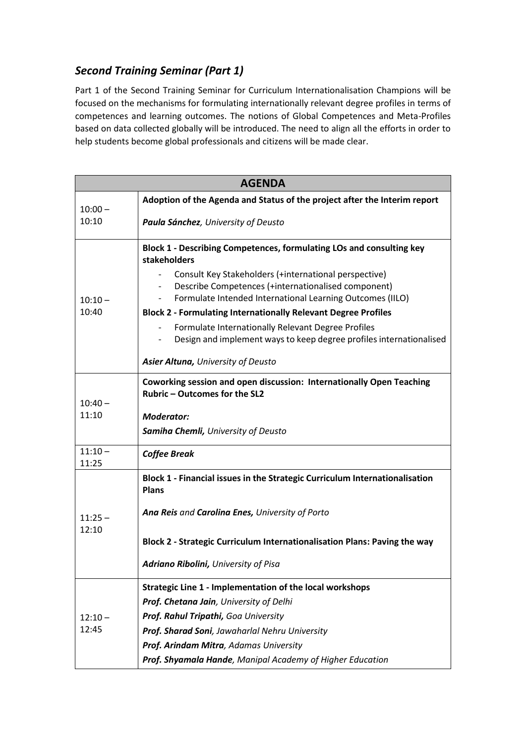### *Second Training Seminar (Part 1)*

Part 1 of the Second Training Seminar for Curriculum Internationalisation Champions will be focused on the mechanisms for formulating internationally relevant degree profiles in terms of competences and learning outcomes. The notions of Global Competences and Meta-Profiles based on data collected globally will be introduced. The need to align all the efforts in order to help students become global professionals and citizens will be made clear.

| <b>AGENDA</b>      |                                                                                                                                    |  |
|--------------------|------------------------------------------------------------------------------------------------------------------------------------|--|
| $10:00 -$          | Adoption of the Agenda and Status of the project after the Interim report                                                          |  |
| 10:10              | Paula Sánchez, University of Deusto                                                                                                |  |
|                    | Block 1 - Describing Competences, formulating LOs and consulting key<br>stakeholders                                               |  |
|                    | Consult Key Stakeholders (+international perspective)<br>Describe Competences (+internationalised component)                       |  |
| $10:10 -$<br>10:40 | Formulate Intended International Learning Outcomes (IILO)<br><b>Block 2 - Formulating Internationally Relevant Degree Profiles</b> |  |
|                    | Formulate Internationally Relevant Degree Profiles                                                                                 |  |
|                    | Design and implement ways to keep degree profiles internationalised                                                                |  |
|                    | Asier Altuna, University of Deusto                                                                                                 |  |
|                    | Coworking session and open discussion: Internationally Open Teaching<br>Rubric - Outcomes for the SL2                              |  |
| $10:40 -$          |                                                                                                                                    |  |
| 11:10              | <b>Moderator:</b>                                                                                                                  |  |
|                    | Samiha Chemli, University of Deusto                                                                                                |  |
| $11:10 -$<br>11:25 | <b>Coffee Break</b>                                                                                                                |  |
|                    | Block 1 - Financial issues in the Strategic Curriculum Internationalisation<br><b>Plans</b>                                        |  |
| $11:25 -$<br>12:10 | Ana Reis and Carolina Enes, University of Porto                                                                                    |  |
|                    | Block 2 - Strategic Curriculum Internationalisation Plans: Paving the way                                                          |  |
|                    | Adriano Ribolini, University of Pisa                                                                                               |  |
|                    | Strategic Line 1 - Implementation of the local workshops                                                                           |  |
|                    | Prof. Chetana Jain, University of Delhi                                                                                            |  |
| $12:10 -$          | Prof. Rahul Tripathi, Goa University                                                                                               |  |
| 12:45              | Prof. Sharad Soni, Jawaharlal Nehru University                                                                                     |  |
|                    | Prof. Arindam Mitra, Adamas University                                                                                             |  |
|                    | Prof. Shyamala Hande, Manipal Academy of Higher Education                                                                          |  |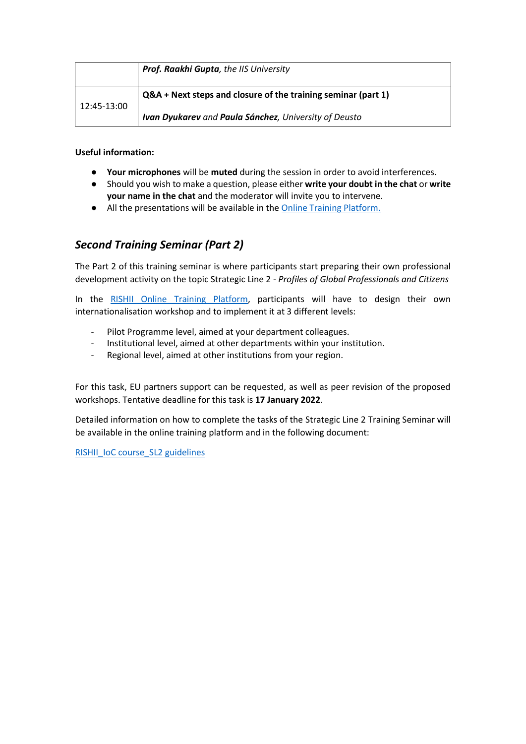|             | Prof. Raakhi Gupta, the IIS University                        |  |
|-------------|---------------------------------------------------------------|--|
| 12:45-13:00 | Q&A + Next steps and closure of the training seminar (part 1) |  |
|             | Ivan Dyukarev and Paula Sánchez, University of Deusto         |  |

**Useful information:** 

- **Your microphones** will be **muted** during the session in order to avoid interferences.
- Should you wish to make a question, please either **write your doubt in the chat** or **write your name in the chat** and the moderator will invite you to intervene.
- All the presentations will be available in th[e Online Training Platform.](http://open.rishii-project.com/)

### *Second Training Seminar (Part 2)*

The Part 2 of this training seminar is where participants start preparing their own professional development activity on the topic Strategic Line 2 - *Profiles of Global Professionals and Citizens*

In the [RISHII Online Training Platform,](http://open.rishii-project.com/course/view.php?id=42) participants will have to design their own internationalisation workshop and to implement it at 3 different levels:

- Pilot Programme level, aimed at your department colleagues.
- Institutional level, aimed at other departments within your institution.
- Regional level, aimed at other institutions from your region.

For this task, EU partners support can be requested, as well as peer revision of the proposed workshops. Tentative deadline for this task is **17 January 2022**.

Detailed information on how to complete the tasks of the Strategic Line 2 Training Seminar will be available in the online training platform and in the following document:

[RISHII\\_IoC course\\_SL2](https://drive.google.com/file/d/1AdxLy5irXt_JpWW8hRdC_tqDhwF9IGb2/view?usp=sharing) guidelines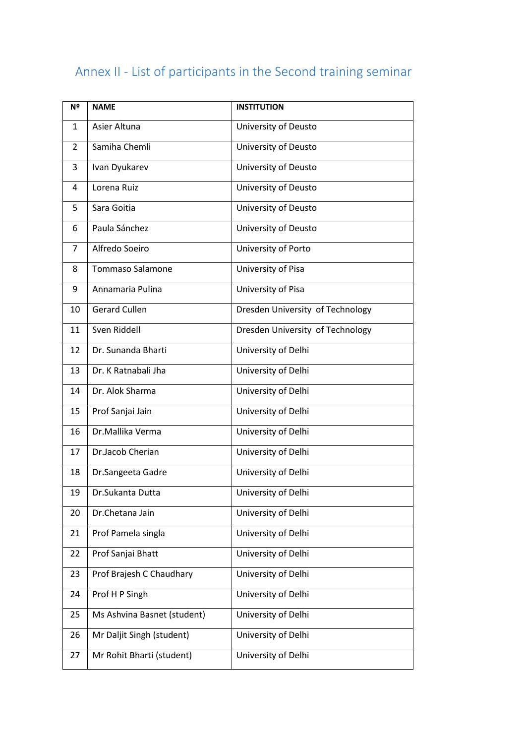## <span id="page-9-0"></span>Annex II - List of participants in the Second training seminar

| Nº | <b>NAME</b>                 | <b>INSTITUTION</b>               |
|----|-----------------------------|----------------------------------|
| 1  | Asier Altuna                | University of Deusto             |
| 2  | Samiha Chemli               | University of Deusto             |
| 3  | Ivan Dyukarev               | University of Deusto             |
| 4  | Lorena Ruiz                 | University of Deusto             |
| 5  | Sara Goitia                 | University of Deusto             |
| 6  | Paula Sánchez               | University of Deusto             |
| 7  | Alfredo Soeiro              | University of Porto              |
| 8  | <b>Tommaso Salamone</b>     | University of Pisa               |
| 9  | Annamaria Pulina            | University of Pisa               |
| 10 | <b>Gerard Cullen</b>        | Dresden University of Technology |
| 11 | Sven Riddell                | Dresden University of Technology |
| 12 | Dr. Sunanda Bharti          | University of Delhi              |
| 13 | Dr. K Ratnabali Jha         | University of Delhi              |
| 14 | Dr. Alok Sharma             | University of Delhi              |
| 15 | Prof Sanjai Jain            | University of Delhi              |
| 16 | Dr.Mallika Verma            | University of Delhi              |
| 17 | Dr.Jacob Cherian            | University of Delhi              |
| 18 | Dr.Sangeeta Gadre           | University of Delhi              |
| 19 | Dr. Sukanta Dutta           | University of Delhi              |
| 20 | Dr.Chetana Jain             | University of Delhi              |
| 21 | Prof Pamela singla          | University of Delhi              |
| 22 | Prof Sanjai Bhatt           | University of Delhi              |
| 23 | Prof Brajesh C Chaudhary    | University of Delhi              |
| 24 | Prof H P Singh              | University of Delhi              |
| 25 | Ms Ashvina Basnet (student) | University of Delhi              |
| 26 | Mr Daljit Singh (student)   | University of Delhi              |
| 27 | Mr Rohit Bharti (student)   | University of Delhi              |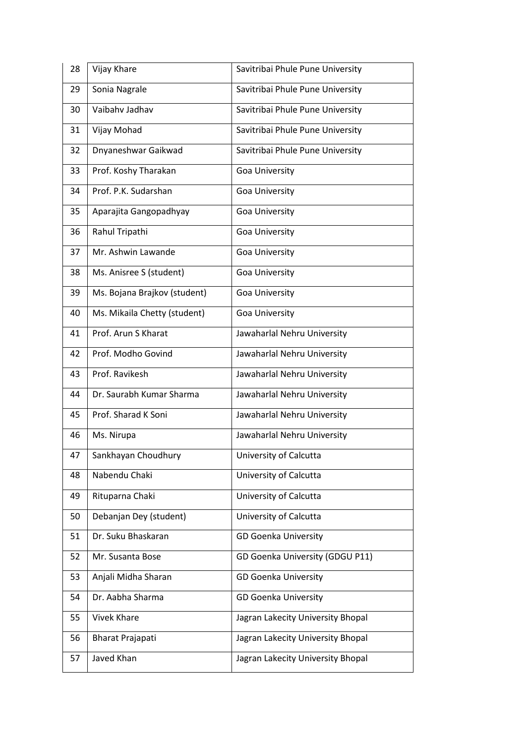| 28 | Vijay Khare                  | Savitribai Phule Pune University  |
|----|------------------------------|-----------------------------------|
| 29 | Sonia Nagrale                | Savitribai Phule Pune University  |
| 30 | Vaibahv Jadhav               | Savitribai Phule Pune University  |
| 31 | Vijay Mohad                  | Savitribai Phule Pune University  |
| 32 | Dnyaneshwar Gaikwad          | Savitribai Phule Pune University  |
| 33 | Prof. Koshy Tharakan         | Goa University                    |
| 34 | Prof. P.K. Sudarshan         | <b>Goa University</b>             |
| 35 | Aparajita Gangopadhyay       | Goa University                    |
| 36 | Rahul Tripathi               | Goa University                    |
| 37 | Mr. Ashwin Lawande           | Goa University                    |
| 38 | Ms. Anisree S (student)      | <b>Goa University</b>             |
| 39 | Ms. Bojana Brajkov (student) | Goa University                    |
| 40 | Ms. Mikaila Chetty (student) | Goa University                    |
| 41 | Prof. Arun S Kharat          | Jawaharlal Nehru University       |
| 42 | Prof. Modho Govind           | Jawaharlal Nehru University       |
| 43 | Prof. Ravikesh               | Jawaharlal Nehru University       |
| 44 | Dr. Saurabh Kumar Sharma     | Jawaharlal Nehru University       |
| 45 | Prof. Sharad K Soni          | Jawaharlal Nehru University       |
| 46 | Ms. Nirupa                   | Jawaharlal Nehru University       |
| 47 | Sankhayan Choudhury          | University of Calcutta            |
| 48 | Nabendu Chaki                | University of Calcutta            |
| 49 | Rituparna Chaki              | University of Calcutta            |
| 50 | Debanjan Dey (student)       | University of Calcutta            |
| 51 | Dr. Suku Bhaskaran           | <b>GD Goenka University</b>       |
| 52 | Mr. Susanta Bose             | GD Goenka University (GDGU P11)   |
| 53 | Anjali Midha Sharan          | <b>GD Goenka University</b>       |
| 54 | Dr. Aabha Sharma             | <b>GD Goenka University</b>       |
| 55 | <b>Vivek Khare</b>           | Jagran Lakecity University Bhopal |
| 56 | <b>Bharat Prajapati</b>      | Jagran Lakecity University Bhopal |
| 57 | Javed Khan                   | Jagran Lakecity University Bhopal |
|    |                              |                                   |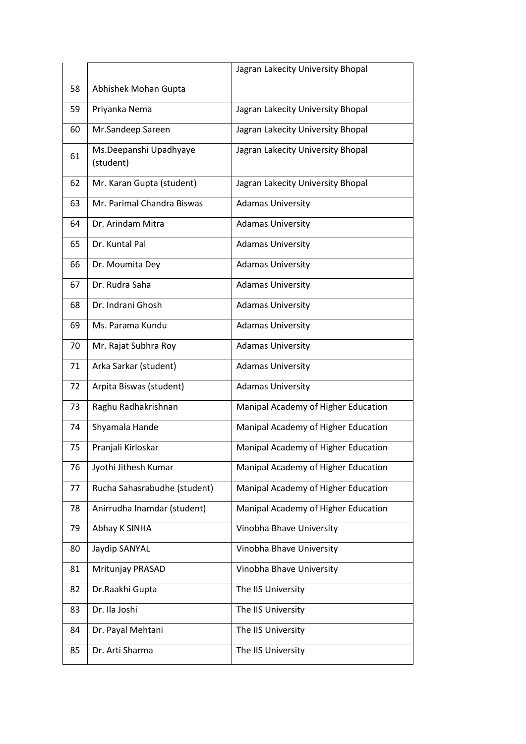|    |                                     | Jagran Lakecity University Bhopal   |
|----|-------------------------------------|-------------------------------------|
| 58 | Abhishek Mohan Gupta                |                                     |
| 59 | Priyanka Nema                       | Jagran Lakecity University Bhopal   |
| 60 | Mr.Sandeep Sareen                   | Jagran Lakecity University Bhopal   |
| 61 | Ms.Deepanshi Upadhyaye<br>(student) | Jagran Lakecity University Bhopal   |
| 62 | Mr. Karan Gupta (student)           | Jagran Lakecity University Bhopal   |
| 63 | Mr. Parimal Chandra Biswas          | <b>Adamas University</b>            |
| 64 | Dr. Arindam Mitra                   | <b>Adamas University</b>            |
| 65 | Dr. Kuntal Pal                      | <b>Adamas University</b>            |
| 66 | Dr. Moumita Dey                     | <b>Adamas University</b>            |
| 67 | Dr. Rudra Saha                      | <b>Adamas University</b>            |
| 68 | Dr. Indrani Ghosh                   | <b>Adamas University</b>            |
| 69 | Ms. Parama Kundu                    | <b>Adamas University</b>            |
| 70 | Mr. Rajat Subhra Roy                | <b>Adamas University</b>            |
| 71 | Arka Sarkar (student)               | <b>Adamas University</b>            |
| 72 | Arpita Biswas (student)             | <b>Adamas University</b>            |
| 73 | Raghu Radhakrishnan                 | Manipal Academy of Higher Education |
| 74 | Shyamala Hande                      | Manipal Academy of Higher Education |
| 75 | Pranjali Kirloskar                  | Manipal Academy of Higher Education |
| 76 | Jyothi Jithesh Kumar                | Manipal Academy of Higher Education |
| 77 | Rucha Sahasrabudhe (student)        | Manipal Academy of Higher Education |
| 78 | Anirrudha Inamdar (student)         | Manipal Academy of Higher Education |
| 79 | Abhay K SINHA                       | Vinobha Bhave University            |
| 80 | Jaydip SANYAL                       | Vinobha Bhave University            |
| 81 | Mritunjay PRASAD                    | Vinobha Bhave University            |
| 82 | Dr. Raakhi Gupta                    | The IIS University                  |
| 83 | Dr. Ila Joshi                       | The IIS University                  |
| 84 | Dr. Payal Mehtani                   | The IIS University                  |
| 85 | Dr. Arti Sharma                     | The IIS University                  |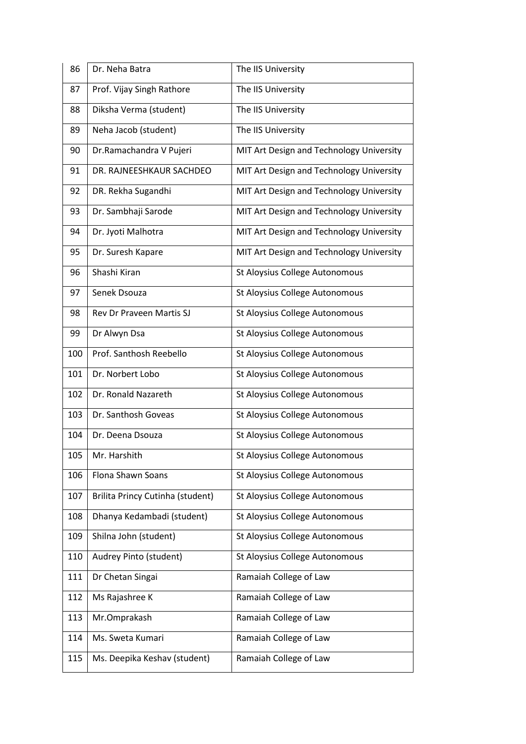| 86  | Dr. Neha Batra                   | The IIS University                       |
|-----|----------------------------------|------------------------------------------|
| 87  | Prof. Vijay Singh Rathore        | The IIS University                       |
| 88  | Diksha Verma (student)           | The IIS University                       |
| 89  | Neha Jacob (student)             | The IIS University                       |
| 90  | Dr.Ramachandra V Pujeri          | MIT Art Design and Technology University |
| 91  | DR. RAJNEESHKAUR SACHDEO         | MIT Art Design and Technology University |
| 92  | DR. Rekha Sugandhi               | MIT Art Design and Technology University |
| 93  | Dr. Sambhaji Sarode              | MIT Art Design and Technology University |
| 94  | Dr. Jyoti Malhotra               | MIT Art Design and Technology University |
| 95  | Dr. Suresh Kapare                | MIT Art Design and Technology University |
| 96  | Shashi Kiran                     | St Aloysius College Autonomous           |
| 97  | Senek Dsouza                     | St Aloysius College Autonomous           |
| 98  | Rev Dr Praveen Martis SJ         | St Aloysius College Autonomous           |
| 99  | Dr Alwyn Dsa                     | St Aloysius College Autonomous           |
| 100 | Prof. Santhosh Reebello          | St Aloysius College Autonomous           |
| 101 | Dr. Norbert Lobo                 | St Aloysius College Autonomous           |
| 102 | Dr. Ronald Nazareth              | St Aloysius College Autonomous           |
| 103 | Dr. Santhosh Goveas              | St Aloysius College Autonomous           |
| 104 | Dr. Deena Dsouza                 | St Aloysius College Autonomous           |
| 105 | Mr. Harshith                     | St Aloysius College Autonomous           |
| 106 | <b>Flona Shawn Soans</b>         | St Aloysius College Autonomous           |
| 107 | Brilita Princy Cutinha (student) | St Aloysius College Autonomous           |
| 108 | Dhanya Kedambadi (student)       | St Aloysius College Autonomous           |
| 109 | Shilna John (student)            | St Aloysius College Autonomous           |
| 110 | Audrey Pinto (student)           | St Aloysius College Autonomous           |
| 111 | Dr Chetan Singai                 | Ramaiah College of Law                   |
| 112 | Ms Rajashree K                   | Ramaiah College of Law                   |
| 113 | Mr.Omprakash                     | Ramaiah College of Law                   |
| 114 | Ms. Sweta Kumari                 | Ramaiah College of Law                   |
| 115 | Ms. Deepika Keshav (student)     | Ramaiah College of Law                   |